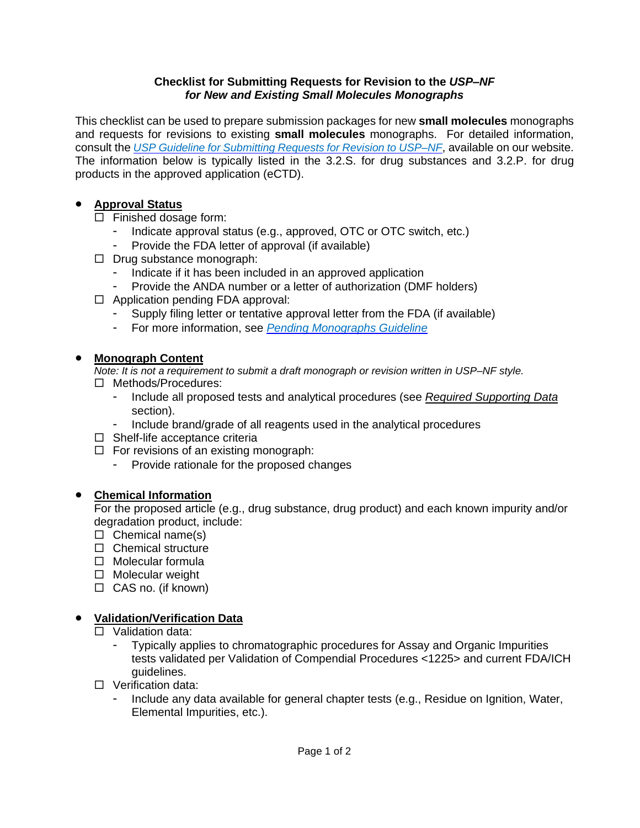#### **Checklist for Submitting Requests for Revision to the** *USP–NF for New and Existing Small Molecules Monographs*

This checklist can be used to prepare submission packages for new **small molecules** monographs and requests for revisions to existing **small molecules** monographs. For detailed information, consult the *USP Guideline for [Submitting](http://www.usp.org/sites/default/files/usp/document/get-involved/submission-guidelines/chemical_medicines_rfr_guideline_-28apr16.pdf) Requests for Revision to USP–NF*, available on our website. The information below is typically listed in the 3.2.S. for drug substances and 3.2.P. for drug products in the approved application (eCTD).

#### • **Approval Status**

- $\Box$  Finished dosage form:
	- Indicate approval status (e.g., approved, OTC or OTC switch, etc.)
	- Provide the FDA letter of approval (if available)
- $\Box$  Drug substance monograph:
	- Indicate if it has been included in an approved application
	- Provide the ANDA number or a letter of authorization (DMF holders)
- $\Box$  Application pending FDA approval:
	- Supply filing letter or tentative approval letter from the FDA (if available)
	- For more information, see *Pending [Monographs](https://www.uspnf.com/sites/default/files/usp_pdf/EN/USPNF/pending-monograph-guideline.pdf) Guideline*

### • **Monograph Content**

*Note: It is not a requirement to submit a draft monograph or revision written in USP–NF style.*

- Methods/Procedures:
	- Include all proposed tests and analytical procedures (see *Required [Supporting](#page-1-0) Data* section).
	- Include brand/grade of all reagents used in the analytical procedures
- $\Box$  Shelf-life acceptance criteria
- $\Box$  For revisions of an existing monograph:
	- Provide rationale for the proposed changes

### • **Chemical Information**

For the proposed article (e.g., drug substance, drug product) and each known impurity and/or degradation product, include:

- $\Box$  Chemical name(s)
- $\Box$  Chemical structure
- $\Box$  Molecular formula
- $\Box$  Molecular weight
- $\Box$  CAS no. (if known)

# • **Validation/Verification Data**

- □ Validation data:
	- Typically applies to chromatographic procedures for Assay and Organic Impurities tests validated per Validation of Compendial Procedures <1225> and current FDA/ICH guidelines.
- □ Verification data:
	- Include any data available for general chapter tests (e.g., Residue on Ignition, Water, Elemental Impurities, etc.).